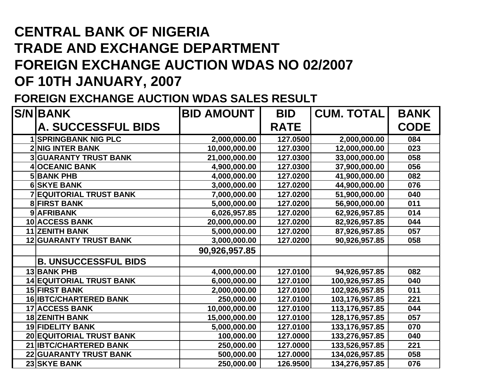# **CENTRAL BANK OF NIGERIA TRADE AND EXCHANGE DEPARTMENT FOREIGN EXCHANGE AUCTION WDAS NO 02/2007 OF 10TH JANUARY, 2007**

#### **FOREIGN EXCHANGE AUCTION WDAS SALES RESULT**

| <b>S/NIBANK</b>                 | <b>BID AMOUNT</b> | <b>BID</b>  | <b>CUM. TOTAL</b> | <b>BANK</b> |
|---------------------------------|-------------------|-------------|-------------------|-------------|
| <b>A. SUCCESSFUL BIDS</b>       |                   | <b>RATE</b> |                   | <b>CODE</b> |
| <b>1 SPRINGBANK NIG PLC</b>     | 2,000,000.00      | 127.0500    | 2,000,000.00      | 084         |
| <b>2 NIG INTER BANK</b>         | 10,000,000.00     | 127.0300    | 12,000,000.00     | 023         |
| <b>3 GUARANTY TRUST BANK</b>    | 21,000,000.00     | 127.0300    | 33,000,000.00     | 058         |
| <b>OCEANIC BANK</b>             | 4,900,000.00      | 127.0300    | 37,900,000.00     | 056         |
| <b>5 BANK PHB</b>               | 4,000,000.00      | 127.0200    | 41,900,000.00     | 082         |
| <b>6 SKYE BANK</b>              | 3,000,000.00      | 127.0200    | 44,900,000.00     | 076         |
| <b>7 EQUITORIAL TRUST BANK</b>  | 7,000,000.00      | 127.0200    | 51,900,000.00     | 040         |
| <b>8 FIRST BANK</b>             | 5,000,000.00      | 127.0200    | 56,900,000.00     | 011         |
| 9 AFRIBANK                      | 6,026,957.85      | 127.0200    | 62,926,957.85     | 014         |
| <b>10 ACCESS BANK</b>           | 20,000,000.00     | 127.0200    | 82,926,957.85     | 044         |
| <b>11 ZENITH BANK</b>           | 5,000,000.00      | 127.0200    | 87,926,957.85     | 057         |
| <b>12 GUARANTY TRUST BANK</b>   | 3,000,000.00      | 127.0200    | 90,926,957.85     | 058         |
|                                 | 90,926,957.85     |             |                   |             |
| <b>B. UNSUCCESSFUL BIDS</b>     |                   |             |                   |             |
| <b>13 BANK PHB</b>              | 4,000,000.00      | 127.0100    | 94,926,957.85     | 082         |
| <b>14 EQUITORIAL TRUST BANK</b> | 6,000,000.00      | 127.0100    | 100,926,957.85    | 040         |
| <b>15 FIRST BANK</b>            | 2,000,000.00      | 127.0100    | 102,926,957.85    | 011         |
| <b>16 IBTC/CHARTERED BANK</b>   | 250,000.00        | 127.0100    | 103,176,957.85    | 221         |
| <b>17 ACCESS BANK</b>           | 10,000,000.00     | 127.0100    | 113,176,957.85    | 044         |
| <b>18 ZENITH BANK</b>           | 15,000,000.00     | 127.0100    | 128,176,957.85    | 057         |
| <b>19 FIDELITY BANK</b>         | 5,000,000.00      | 127.0100    | 133,176,957.85    | 070         |
| <b>20 EQUITORIAL TRUST BANK</b> | 100,000.00        | 127.0000    | 133,276,957.85    | 040         |
| 21 IBTC/CHARTERED BANK          | 250,000.00        | 127.0000    | 133,526,957.85    | 221         |
| <b>22 GUARANTY TRUST BANK</b>   | 500,000.00        | 127.0000    | 134,026,957.85    | 058         |
| <b>23 SKYE BANK</b>             | 250,000.00        | 126.9500    | 134,276,957.85    | 076         |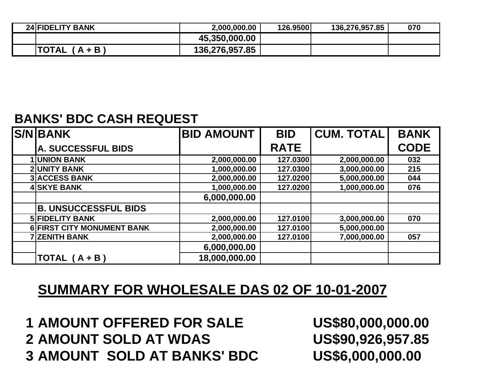| <b>24 FIDELITY BANK</b> | 2,000,000.00   | 126.9500 | 136,276,957.85 | 070 |
|-------------------------|----------------|----------|----------------|-----|
|                         | 45,350,000.00  |          |                |     |
| 'TOTAL<br>$A + B$       | 136,276,957.85 |          |                |     |

### **BANKS' BDC CASH REQUEST**

| <b>S/N BANK</b>             | <b>BID AMOUNT</b> | <b>BID</b>  | <b>CUM. TOTAL</b> | <b>BANK</b> |
|-----------------------------|-------------------|-------------|-------------------|-------------|
| A. SUCCESSFUL BIDS          |                   | <b>RATE</b> |                   | <b>CODE</b> |
| <b>1 UNION BANK</b>         | 2,000,000.00      | 127.0300    | 2,000,000.00      | 032         |
| <b>2 UNITY BANK</b>         | 1,000,000.00      | 127.0300    | 3,000,000.00      | 215         |
| <b>3 ACCESS BANK</b>        | 2,000,000.00      | 127.0200    | 5,000,000.00      | 044         |
| <b>4 SKYE BANK</b>          | 1,000,000.00      | 127.0200    | 1,000,000.00      | 076         |
|                             | 6,000,000.00      |             |                   |             |
| <b>B. UNSUCCESSFUL BIDS</b> |                   |             |                   |             |
| <b>5 FIDELITY BANK</b>      | 2,000,000.00      | 127.0100    | 3,000,000.00      | 070         |
| 6 FIRST CITY MONUMENT BANK  | 2,000,000.00      | 127.0100    | 5,000,000.00      |             |
| <b>7 ZENITH BANK</b>        | 2,000,000.00      | 127.0100    | 7,000,000.00      | 057         |
|                             | 6,000,000.00      |             |                   |             |
| TOTAL (A + B)               | 18,000,000.00     |             |                   |             |

### **SUMMARY FOR WHOLESALE DAS 02 OF 10-01-2007**

**1 AMOUNT OFFERED FOR SALE US\$80,000,000.00 2 AMOUNT SOLD AT WDAS US\$90,926,957.85 3 AMOUNT SOLD AT BANKS' BDC US\$6,000,000.00**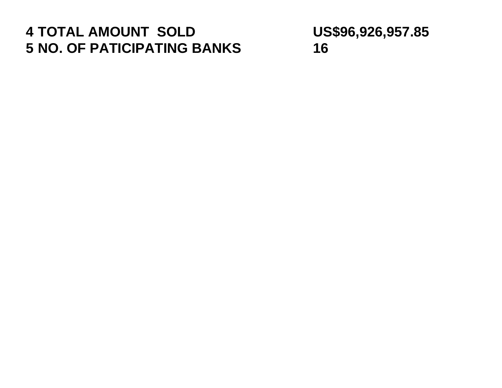## **TOTAL AMOUNT SOLD US\$96,926,957.85 NO. OF PATICIPATING BANKS 16**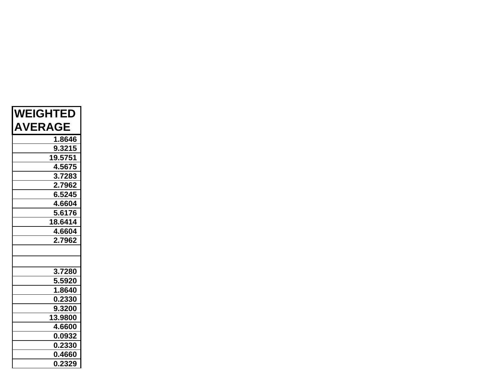| <b>WEIGHTED</b> |
|-----------------|
| <b>AVERAGE</b>  |
| 1.8646          |
| 9.3215          |
| 19.5751         |
| 4.5675          |
| 3.7283          |
| 2.7962          |
| 6.5245          |
| 4.6604          |
| 5.6176          |
| 18.6414         |
| 4.6604          |
| 2.7962          |
|                 |
|                 |
| 3.7280          |
| 5.5920          |
| 1.8640          |
| 0.2330          |
| 9.3200          |
| 13.9800         |
| 4.6600          |
| 0.0932          |
| 0.2330          |
| 0.4660          |
| 0.2329          |